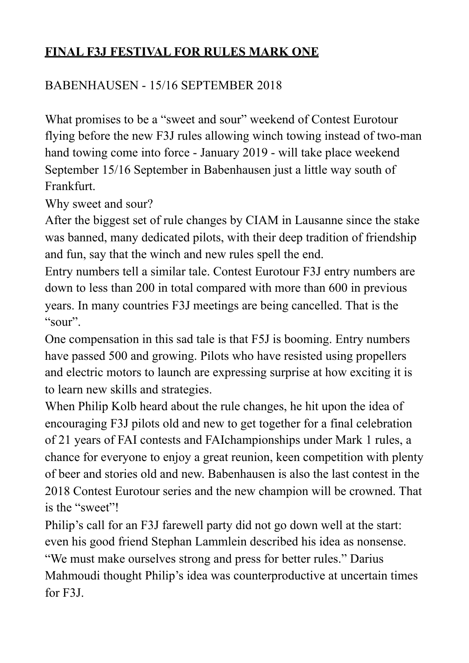# **FINAL F3J FESTIVAL FOR RULES MARK ONE**

## BABENHAUSEN - 15/16 SEPTEMBER 2018

What promises to be a "sweet and sour" weekend of Contest Eurotour flying before the new F3J rules allowing winch towing instead of two-man hand towing come into force - January 2019 - will take place weekend September 15/16 September in Babenhausen just a little way south of Frankfurt.

Why sweet and sour?

After the biggest set of rule changes by CIAM in Lausanne since the stake was banned, many dedicated pilots, with their deep tradition of friendship and fun, say that the winch and new rules spell the end.

Entry numbers tell a similar tale. Contest Eurotour F3J entry numbers are down to less than 200 in total compared with more than 600 in previous years. In many countries F3J meetings are being cancelled. That is the "sour".

One compensation in this sad tale is that F5J is booming. Entry numbers have passed 500 and growing. Pilots who have resisted using propellers and electric motors to launch are expressing surprise at how exciting it is to learn new skills and strategies.

When Philip Kolb heard about the rule changes, he hit upon the idea of encouraging F3J pilots old and new to get together for a final celebration of 21 years of FAI contests and FAIchampionships under Mark 1 rules, a chance for everyone to enjoy a great reunion, keen competition with plenty of beer and stories old and new. Babenhausen is also the last contest in the 2018 Contest Eurotour series and the new champion will be crowned. That is the "sweet"!

Philip's call for an F3J farewell party did not go down well at the start: even his good friend Stephan Lammlein described his idea as nonsense. "We must make ourselves strong and press for better rules." Darius Mahmoudi thought Philip's idea was counterproductive at uncertain times for F3J.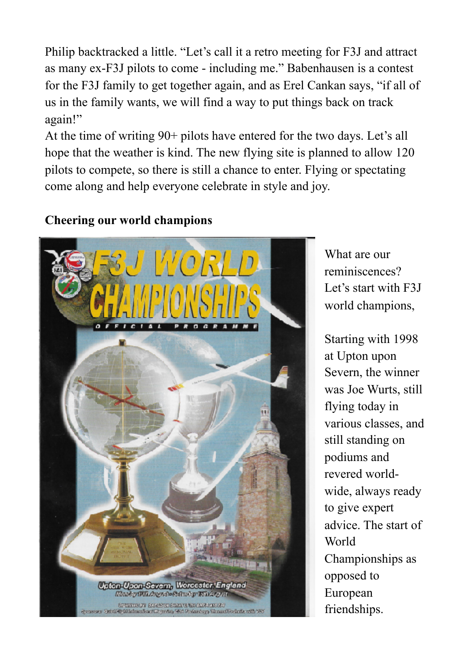Philip backtracked a little. "Let's call it a retro meeting for F3J and attract as many ex-F3J pilots to come - including me." Babenhausen is a contest for the F3J family to get together again, and as Erel Cankan says, "if all of us in the family wants, we will find a way to put things back on track again!"

At the time of writing 90+ pilots have entered for the two days. Let's all hope that the weather is kind. The new flying site is planned to allow 120 pilots to compete, so there is still a chance to enter. Flying or spectating come along and help everyone celebrate in style and joy.

#### **Cheering our world champions**



What are our reminiscences? Let's start with F3J world champions,

Starting with 1998 at Upton upon Severn, the winner was Joe Wurts, still flying today in various classes, and still standing on podiums and revered worldwide, always ready to give expert advice. The start of World Championships as opposed to European friendships.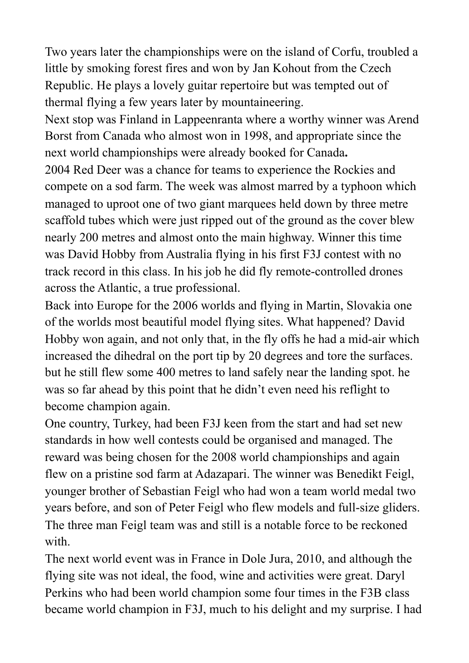Two years later the championships were on the island of Corfu, troubled a little by smoking forest fires and won by Jan Kohout from the Czech Republic. He plays a lovely guitar repertoire but was tempted out of thermal flying a few years later by mountaineering.

Next stop was Finland in Lappeenranta where a worthy winner was Arend Borst from Canada who almost won in 1998, and appropriate since the next world championships were already booked for Canada**.** 

2004 Red Deer was a chance for teams to experience the Rockies and compete on a sod farm. The week was almost marred by a typhoon which managed to uproot one of two giant marquees held down by three metre scaffold tubes which were just ripped out of the ground as the cover blew nearly 200 metres and almost onto the main highway. Winner this time was David Hobby from Australia flying in his first F3J contest with no track record in this class. In his job he did fly remote-controlled drones across the Atlantic, a true professional.

Back into Europe for the 2006 worlds and flying in Martin, Slovakia one of the worlds most beautiful model flying sites. What happened? David Hobby won again, and not only that, in the fly offs he had a mid-air which increased the dihedral on the port tip by 20 degrees and tore the surfaces. but he still flew some 400 metres to land safely near the landing spot. he was so far ahead by this point that he didn't even need his reflight to become champion again.

One country, Turkey, had been F3J keen from the start and had set new standards in how well contests could be organised and managed. The reward was being chosen for the 2008 world championships and again flew on a pristine sod farm at Adazapari. The winner was Benedikt Feigl, younger brother of Sebastian Feigl who had won a team world medal two years before, and son of Peter Feigl who flew models and full-size gliders. The three man Feigl team was and still is a notable force to be reckoned with

The next world event was in France in Dole Jura, 2010, and although the flying site was not ideal, the food, wine and activities were great. Daryl Perkins who had been world champion some four times in the F3B class became world champion in F3J, much to his delight and my surprise. I had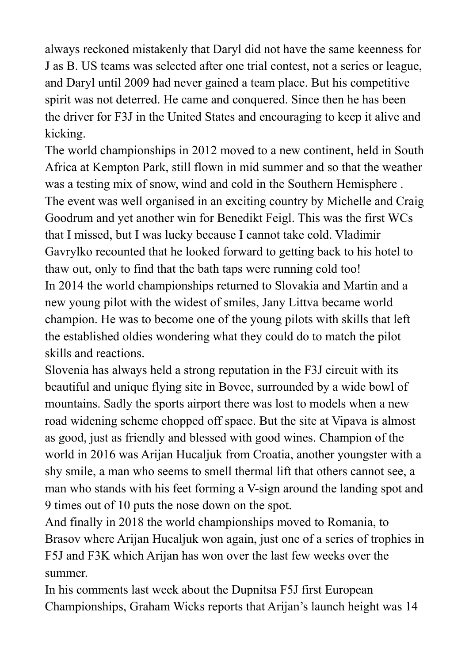always reckoned mistakenly that Daryl did not have the same keenness for J as B. US teams was selected after one trial contest, not a series or league, and Daryl until 2009 had never gained a team place. But his competitive spirit was not deterred. He came and conquered. Since then he has been the driver for F3J in the United States and encouraging to keep it alive and kicking.

The world championships in 2012 moved to a new continent, held in South Africa at Kempton Park, still flown in mid summer and so that the weather was a testing mix of snow, wind and cold in the Southern Hemisphere . The event was well organised in an exciting country by Michelle and Craig Goodrum and yet another win for Benedikt Feigl. This was the first WCs that I missed, but I was lucky because I cannot take cold. Vladimir Gavrylko recounted that he looked forward to getting back to his hotel to thaw out, only to find that the bath taps were running cold too! In 2014 the world championships returned to Slovakia and Martin and a new young pilot with the widest of smiles, Jany Littva became world champion. He was to become one of the young pilots with skills that left the established oldies wondering what they could do to match the pilot skills and reactions.

Slovenia has always held a strong reputation in the F3J circuit with its beautiful and unique flying site in Bovec, surrounded by a wide bowl of mountains. Sadly the sports airport there was lost to models when a new road widening scheme chopped off space. But the site at Vipava is almost as good, just as friendly and blessed with good wines. Champion of the world in 2016 was Arijan Hucaljuk from Croatia, another youngster with a shy smile, a man who seems to smell thermal lift that others cannot see, a man who stands with his feet forming a V-sign around the landing spot and 9 times out of 10 puts the nose down on the spot.

And finally in 2018 the world championships moved to Romania, to Brasov where Arijan Hucaljuk won again, just one of a series of trophies in F5J and F3K which Arijan has won over the last few weeks over the summer.

In his comments last week about the Dupnitsa F5J first European Championships, Graham Wicks reports that Arijan's launch height was 14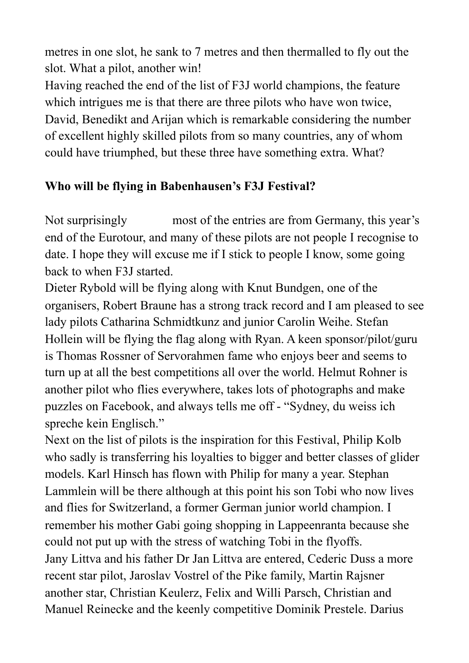metres in one slot, he sank to 7 metres and then thermalled to fly out the slot. What a pilot, another win!

Having reached the end of the list of F3J world champions, the feature which intrigues me is that there are three pilots who have won twice, David, Benedikt and Arijan which is remarkable considering the number of excellent highly skilled pilots from so many countries, any of whom could have triumphed, but these three have something extra. What?

## **Who will be flying in Babenhausen's F3J Festival?**

Not surprisingly most of the entries are from Germany, this year's end of the Eurotour, and many of these pilots are not people I recognise to date. I hope they will excuse me if I stick to people I know, some going back to when F3J started.

Dieter Rybold will be flying along with Knut Bundgen, one of the organisers, Robert Braune has a strong track record and I am pleased to see lady pilots Catharina Schmidtkunz and junior Carolin Weihe. Stefan Hollein will be flying the flag along with Ryan. A keen sponsor/pilot/guru is Thomas Rossner of Servorahmen fame who enjoys beer and seems to turn up at all the best competitions all over the world. Helmut Rohner is another pilot who flies everywhere, takes lots of photographs and make puzzles on Facebook, and always tells me off - "Sydney, du weiss ich spreche kein Englisch."

Next on the list of pilots is the inspiration for this Festival, Philip Kolb who sadly is transferring his loyalties to bigger and better classes of glider models. Karl Hinsch has flown with Philip for many a year. Stephan Lammlein will be there although at this point his son Tobi who now lives and flies for Switzerland, a former German junior world champion. I remember his mother Gabi going shopping in Lappeenranta because she could not put up with the stress of watching Tobi in the flyoffs. Jany Littva and his father Dr Jan Littva are entered, Cederic Duss a more recent star pilot, Jaroslav Vostrel of the Pike family, Martin Rajsner another star, Christian Keulerz, Felix and Willi Parsch, Christian and Manuel Reinecke and the keenly competitive Dominik Prestele. Darius